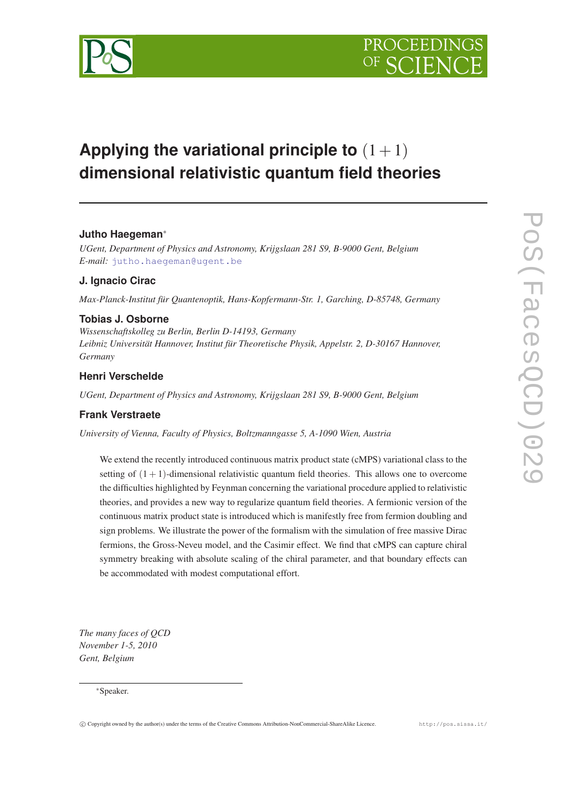

# **Applying the variational principle to**  $(1+1)$ **dimensional relativistic quantum field theories**

# **Jutho Haegeman**<sup>∗</sup>

*UGent, Department of Physics and Astronomy, Krijgslaan 281 S9, B-9000 Gent, Belgium E-mail:* [jutho.haegeman@ugent.be](mailto:jutho.haegeman@ugent.be)

# **J. Ignacio Cirac**

*Max-Planck-Institut für Quantenoptik, Hans-Kopfermann-Str. 1, Garching, D-85748, Germany*

# **Tobias J. Osborne**

*Wissenschaftskolleg zu Berlin, Berlin D-14193, Germany Leibniz Universität Hannover, Institut für Theoretische Physik, Appelstr. 2, D-30167 Hannover, Germany*

# **Henri Verschelde**

*UGent, Department of Physics and Astronomy, Krijgslaan 281 S9, B-9000 Gent, Belgium*

# **Frank Verstraete**

*University of Vienna, Faculty of Physics, Boltzmanngasse 5, A-1090 Wien, Austria*

We extend the recently introduced continuous matrix product state (cMPS) variational class to the setting of  $(1 + 1)$ -dimensional relativistic quantum field theories. This allows one to overcome the difficulties highlighted by Feynman concerning the variational procedure applied to relativistic theories, and provides a new way to regularize quantum field theories. A fermionic version of the continuous matrix product state is introduced which is manifestly free from fermion doubling and sign problems. We illustrate the power of the formalism with the simulation of free massive Dirac fermions, the Gross-Neveu model, and the Casimir effect. We find that cMPS can capture chiral symmetry breaking with absolute scaling of the chiral parameter, and that boundary effects can be accommodated with modest computational effort.

*The many faces of QCD November 1-5, 2010 Gent, Belgium*

#### <sup>∗</sup>Speaker.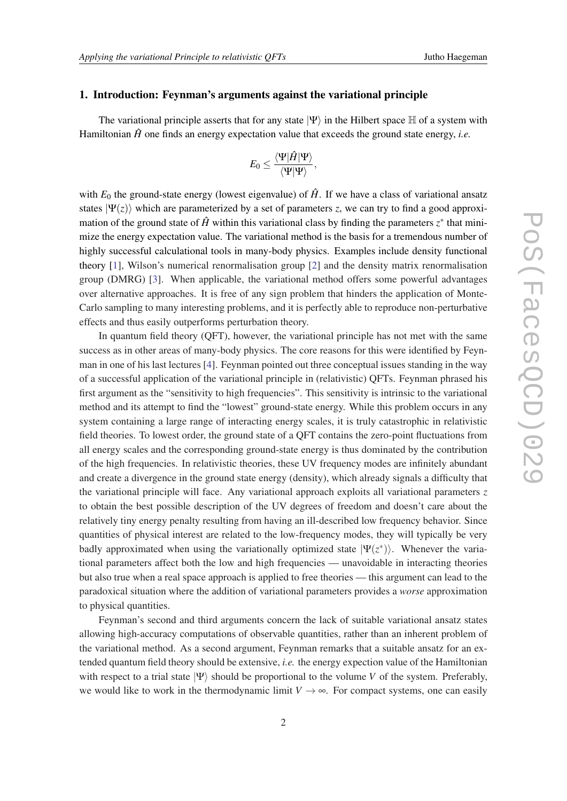### 1. Introduction: Feynman's arguments against the variational principle

The variational principle asserts that for any state  $|\Psi\rangle$  in the Hilbert space H of a system with Hamiltonian  $\hat{H}$  one finds an energy expectation value that exceeds the ground state energy, *i.e.* 

$$
E_0 \leq \frac{\langle \Psi | \hat{H} | \Psi \rangle}{\langle \Psi | \Psi \rangle},
$$

with  $E_0$  the ground-state energy (lowest eigenvalue) of  $\hat{H}$ . If we have a class of variational ansatz states  $|\Psi(z)\rangle$  which are parameterized by a set of parameters *z*, we can try to find a good approximation of the ground state of  $\hat{H}$  within this variational class by finding the parameters  $z^*$  that minimize the energy expectation value. The variational method is the basis for a tremendous number of highly successful calculational tools in many-body physics. Examples include density functional theory [\[1\]](#page-9-0), Wilson's numerical renormalisation group [[2](#page-9-0)] and the density matrix renormalisation group (DMRG) [\[3\]](#page-9-0). When applicable, the variational method offers some powerful advantages over alternative approaches. It is free of any sign problem that hinders the application of Monte-Carlo sampling to many interesting problems, and it is perfectly able to reproduce non-perturbative effects and thus easily outperforms perturbation theory.

In quantum field theory (QFT), however, the variational principle has not met with the same success as in other areas of many-body physics. The core reasons for this were identified by Feynman in one of his last lectures [\[4](#page-10-0)]. Feynman pointed out three conceptual issues standing in the way of a successful application of the variational principle in (relativistic) QFTs. Feynman phrased his first argument as the "sensitivity to high frequencies". This sensitivity is intrinsic to the variational method and its attempt to find the "lowest" ground-state energy. While this problem occurs in any system containing a large range of interacting energy scales, it is truly catastrophic in relativistic field theories. To lowest order, the ground state of a QFT contains the zero-point fluctuations from all energy scales and the corresponding ground-state energy is thus dominated by the contribution of the high frequencies. In relativistic theories, these UV frequency modes are infinitely abundant and create a divergence in the ground state energy (density), which already signals a difficulty that the variational principle will face. Any variational approach exploits all variational parameters *z* to obtain the best possible description of the UV degrees of freedom and doesn't care about the relatively tiny energy penalty resulting from having an ill-described low frequency behavior. Since quantities of physical interest are related to the low-frequency modes, they will typically be very badly approximated when using the variationally optimized state  $|\Psi(z^*)\rangle$ . Whenever the variational parameters affect both the low and high frequencies — unavoidable in interacting theories but also true when a real space approach is applied to free theories — this argument can lead to the paradoxical situation where the addition of variational parameters provides a *worse* approximation to physical quantities.

Feynman's second and third arguments concern the lack of suitable variational ansatz states allowing high-accuracy computations of observable quantities, rather than an inherent problem of the variational method. As a second argument, Feynman remarks that a suitable ansatz for an extended quantum field theory should be extensive, *i.e.* the energy expection value of the Hamiltonian with respect to a trial state  $|\Psi\rangle$  should be proportional to the volume *V* of the system. Preferably, we would like to work in the thermodynamic limit  $V \rightarrow \infty$ . For compact systems, one can easily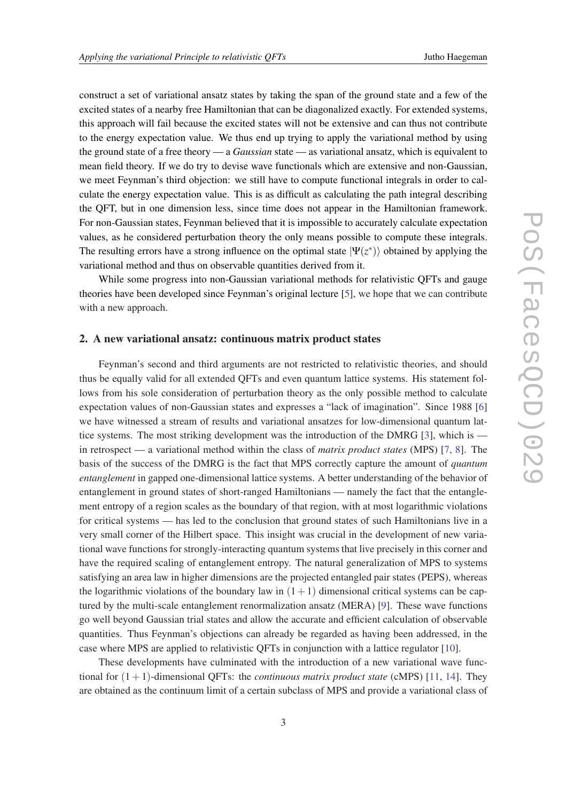construct a set of variational ansatz states by taking the span of the ground state and a few of the excited states of a nearby free Hamiltonian that can be diagonalized exactly. For extended systems, this approach will fail because the excited states will not be extensive and can thus not contribute to the energy expectation value. We thus end up trying to apply the variational method by using the ground state of a free theory — a *Gaussian* state — as variational ansatz, which is equivalent to mean field theory. If we do try to devise wave functionals which are extensive and non-Gaussian, we meet Feynman's third objection: we still have to compute functional integrals in order to calculate the energy expectation value. This is as difficult as calculating the path integral describing the QFT, but in one dimension less, since time does not appear in the Hamiltonian framework. For non-Gaussian states, Feynman believed that it is impossible to accurately calculate expectation values, as he considered perturbation theory the only means possible to compute these integrals. The resulting errors have a strong influence on the optimal state  $|\Psi(z^*)\rangle$  obtained by applying the variational method and thus on observable quantities derived from it.

While some progress into non-Gaussian variational methods for relativistic QFTs and gauge theories have been developed since Feynman's original lecture [[5](#page-10-0)], we hope that we can contribute with a new approach.

## 2. A new variational ansatz: continuous matrix product states

Feynman's second and third arguments are not restricted to relativistic theories, and should thus be equally valid for all extended QFTs and even quantum lattice systems. His statement follows from his sole consideration of perturbation theory as the only possible method to calculate expectation values of non-Gaussian states and expresses a "lack of imagination". Since 1988 [[6](#page-10-0)] we have witnessed a stream of results and variational ansatzes for low-dimensional quantum lattice systems. The most striking development was the introduction of the DMRG [[3](#page-9-0)], which is in retrospect — a variational method within the class of *matrix product states* (MPS) [[7](#page-10-0), [8\]](#page-10-0). The basis of the success of the DMRG is the fact that MPS correctly capture the amount of *quantum entanglement* in gapped one-dimensional lattice systems. A better understanding of the behavior of entanglement in ground states of short-ranged Hamiltonians — namely the fact that the entanglement entropy of a region scales as the boundary of that region, with at most logarithmic violations for critical systems — has led to the conclusion that ground states of such Hamiltonians live in a very small corner of the Hilbert space. This insight was crucial in the development of new variational wave functions for strongly-interacting quantum systems that live precisely in this corner and have the required scaling of entanglement entropy. The natural generalization of MPS to systems satisfying an area law in higher dimensions are the projected entangled pair states (PEPS), whereas the logarithmic violations of the boundary law in  $(1+1)$  dimensional critical systems can be captured by the multi-scale entanglement renormalization ansatz (MERA) [\[9\]](#page-10-0). These wave functions go well beyond Gaussian trial states and allow the accurate and efficient calculation of observable quantities. Thus Feynman's objections can already be regarded as having been addressed, in the case where MPS are applied to relativistic QFTs in conjunction with a lattice regulator [\[10\]](#page-10-0).

These developments have culminated with the introduction of a new variational wave functional for (1+1)-dimensional QFTs: the *continuous matrix product state* (cMPS) [[11,](#page-10-0) [14\]](#page-10-0). They are obtained as the continuum limit of a certain subclass of MPS and provide a variational class of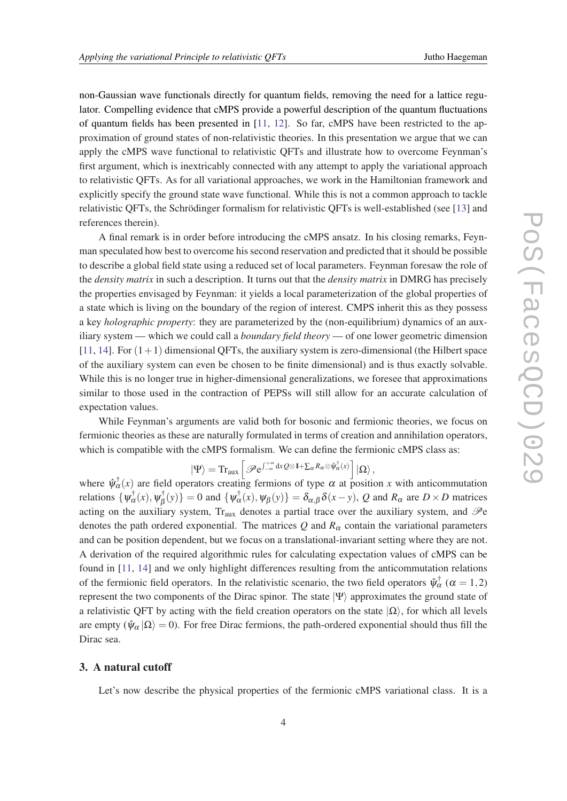non-Gaussian wave functionals directly for quantum fields, removing the need for a lattice regulator. Compelling evidence that cMPS provide a powerful description of the quantum fluctuations of quantum fields has been presented in [\[11,](#page-10-0) [12](#page-10-0)]. So far, cMPS have been restricted to the approximation of ground states of non-relativistic theories. In this presentation we argue that we can apply the cMPS wave functional to relativistic QFTs and illustrate how to overcome Feynman's first argument, which is inextricably connected with any attempt to apply the variational approach to relativistic QFTs. As for all variational approaches, we work in the Hamiltonian framework and explicitly specify the ground state wave functional. While this is not a common approach to tackle relativistic QFTs, the Schrödinger formalism for relativistic QFTs is well-established (see [\[13\]](#page-10-0) and references therein).

A final remark is in order before introducing the cMPS ansatz. In his closing remarks, Feynman speculated how best to overcome his second reservation and predicted that it should be possible to describe a global field state using a reduced set of local parameters. Feynman foresaw the role of the *density matrix* in such a description. It turns out that the *density matrix* in DMRG has precisely the properties envisaged by Feynman: it yields a local parameterization of the global properties of a state which is living on the boundary of the region of interest. CMPS inherit this as they possess a key *holographic property*: they are parameterized by the (non-equilibrium) dynamics of an auxiliary system — which we could call a *boundary field theory* — of one lower geometric dimension  $[11, 14]$  $[11, 14]$  $[11, 14]$  $[11, 14]$ . For  $(1+1)$  dimensional QFTs, the auxiliary system is zero-dimensional (the Hilbert space of the auxiliary system can even be chosen to be finite dimensional) and is thus exactly solvable. While this is no longer true in higher-dimensional generalizations, we foresee that approximations similar to those used in the contraction of PEPSs will still allow for an accurate calculation of expectation values.

While Feynman's arguments are valid both for bosonic and fermionic theories, we focus on fermionic theories as these are naturally formulated in terms of creation and annihilation operators, which is compatible with the cMPS formalism. We can define the fermionic cMPS class as:

$$
\ket{\Psi}=\text{Tr}_{\text{aux}}\left[\mathscr{P}\mathrm{e}^{\int_{-\infty}^{+\infty}\text{d}x} \mathcal{Q}\otimes\mathbb{I}+\Sigma_\alpha R_\alpha\otimes \hat{\psi}_\alpha^\dagger(x)\right]\ket{\Omega},
$$

where  $\hat{\psi}^{\dagger}_{\alpha}(x)$  are field operators creating fermions of type  $\alpha$  at position *x* with anticommutation relations  $\{\psi_{\alpha}^{\dagger}(x), \psi_{\beta}^{\dagger}$  $\{\phi_{\beta}^{\dagger}(y)\}=0$  and  $\{\psi_{\alpha}^{\dagger}(x),\psi_{\beta}(y)\}=\delta_{\alpha,\beta}\delta(x-y), Q$  and  $R_{\alpha}$  are  $D\times D$  matrices acting on the auxiliary system,  $Tr_{aux}$  denotes a partial trace over the auxiliary system, and  $\mathcal{P}e$ denotes the path ordered exponential. The matrices  $Q$  and  $R_\alpha$  contain the variational parameters and can be position dependent, but we focus on a translational-invariant setting where they are not. A derivation of the required algorithmic rules for calculating expectation values of cMPS can be found in [[11](#page-10-0), [14](#page-10-0)] and we only highlight differences resulting from the anticommutation relations of the fermionic field operators. In the relativistic scenario, the two field operators  $\hat{\psi}^{\dagger}_{\alpha}$  ( $\alpha = 1, 2$ ) represent the two components of the Dirac spinor. The state  $|\Psi\rangle$  approximates the ground state of a relativistic QFT by acting with the field creation operators on the state  $|\Omega\rangle$ , for which all levels are empty ( $\hat{\psi}_{\alpha}|\Omega\rangle = 0$ ). For free Dirac fermions, the path-ordered exponential should thus fill the Dirac sea.

#### 3. A natural cutoff

Let's now describe the physical properties of the fermionic cMPS variational class. It is a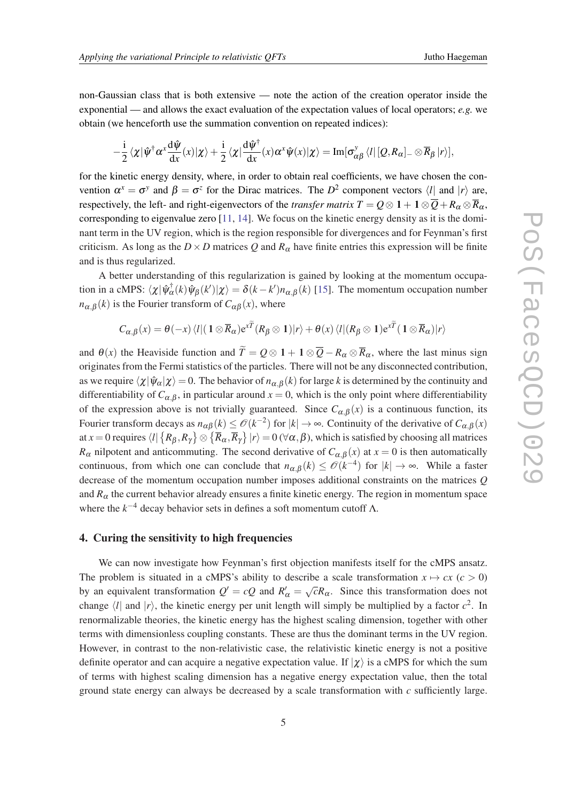non-Gaussian class that is both extensive — note the action of the creation operator inside the exponential — and allows the exact evaluation of the expectation values of local operators; *e.g.* we obtain (we henceforth use the summation convention on repeated indices):

$$
-\frac{\mathrm{i}}{2}\left\langle \chi|\hat{\psi}^{\dagger}\alpha^x\frac{\mathrm{d}\hat{\psi}}{\mathrm{d}x}(x)|\chi\right\rangle+\frac{\mathrm{i}}{2}\left\langle \chi\vert\frac{\mathrm{d}\hat{\psi}^{\dagger}}{\mathrm{d}x}(x)\alpha^x\hat{\psi}(x)|\chi\right\rangle=\mathrm{Im}[\sigma_{\alpha\beta}^y\left\langle l\right\vert [\mathcal{Q},R_{\alpha}]_-\otimes \overline{R}_{\beta}\left\vert r\right\rangle],
$$

for the kinetic energy density, where, in order to obtain real coefficients, we have chosen the convention  $\alpha^x = \sigma^y$  and  $\beta = \sigma^z$  for the Dirac matrices. The  $D^2$  component vectors  $\langle l |$  and  $|r \rangle$  are, respectively, the left- and right-eigenvectors of the *transfer matrix*  $T = Q \otimes 1 + 1 \otimes \overline{Q} + R_{\alpha} \otimes \overline{R}_{\alpha}$ , corresponding to eigenvalue zero [\[11](#page-10-0), [14](#page-10-0)]. We focus on the kinetic energy density as it is the dominant term in the UV region, which is the region responsible for divergences and for Feynman's first criticism. As long as the  $D \times D$  matrices Q and  $R_{\alpha}$  have finite entries this expression will be finite and is thus regularized.

A better understanding of this regularization is gained by looking at the momentum occupation in a cMPS:  $\langle \chi | \hat{\psi}^{\dagger}_{\alpha}(k) \hat{\psi}_{\beta}(k') | \chi \rangle = \delta(k - k') n_{\alpha,\beta}(k)$  [[15](#page-10-0)]. The momentum occupation number  $n_{\alpha,\beta}(k)$  is the Fourier transform of  $C_{\alpha\beta}(x)$ , where

$$
C_{\alpha,\beta}(x) = \theta(-x)\langle l|(1 \otimes \overline{R}_{\alpha})e^{xT}(R_{\beta} \otimes 1)|r\rangle + \theta(x)\langle l|(R_{\beta} \otimes 1)e^{xT}(1 \otimes \overline{R}_{\alpha})|r\rangle
$$

and  $\theta(x)$  the Heaviside function and  $\widetilde{T} = Q \otimes 1 + 1 \otimes \overline{Q} - R_{\alpha} \otimes \overline{R}_{\alpha}$ , where the last minus sign originates from the Fermi statistics of the particles. There will not be any disconnected contribution, as we require  $\langle \chi | \hat{\psi}_{\alpha} | \chi \rangle = 0$ . The behavior of  $n_{\alpha,\beta}(k)$  for large *k* is determined by the continuity and differentiability of  $C_{\alpha,\beta}$ , in particular around  $x = 0$ , which is the only point where differentiability of the expression above is not trivially guaranteed. Since  $C_{\alpha,\beta}(x)$  is a continuous function, its Fourier transform decays as  $n_{\alpha\beta}(k) \leq \mathcal{O}(k^{-2})$  for  $|k| \to \infty$ . Continuity of the derivative of  $C_{\alpha,\beta}(x)$ at  $x=0$  requires  $\bra{l}\left\{R_\beta,R_\gamma\right\}\otimes\left\{\overline{R}_\alpha,\overline{R}_\gamma\right\}\ket{r}=0$  (∀α,  $\beta$ ), which is satisfied by choosing all matrices *R*<sub>α</sub> nilpotent and anticommuting. The second derivative of  $C_{\alpha,\beta}(x)$  at  $x = 0$  is then automatically continuous, from which one can conclude that  $n_{\alpha,\beta}(k) \leq \mathcal{O}(k^{-4})$  for  $|k| \to \infty$ . While a faster decrease of the momentum occupation number imposes additional constraints on the matrices *Q* and  $R_{\alpha}$  the current behavior already ensures a finite kinetic energy. The region in momentum space where the  $k^{-4}$  decay behavior sets in defines a soft momentum cutoff  $\Lambda$ .

#### 4. Curing the sensitivity to high frequencies

We can now investigate how Feynman's first objection manifests itself for the cMPS ansatz. The problem is situated in a cMPS's ability to describe a scale transformation  $x \mapsto cx$  ( $c > 0$ ) by an equivalent transformation  $Q' = cQ$  and  $R'_\alpha = \sqrt{ }$  $\overline{c}R_{\alpha}$ . Since this transformation does not change  $\langle l \rangle$  and  $|r \rangle$ , the kinetic energy per unit length will simply be multiplied by a factor  $c^2$ . In renormalizable theories, the kinetic energy has the highest scaling dimension, together with other terms with dimensionless coupling constants. These are thus the dominant terms in the UV region. However, in contrast to the non-relativistic case, the relativistic kinetic energy is not a positive definite operator and can acquire a negative expectation value. If  $|\chi\rangle$  is a cMPS for which the sum of terms with highest scaling dimension has a negative energy expectation value, then the total ground state energy can always be decreased by a scale transformation with *c* sufficiently large.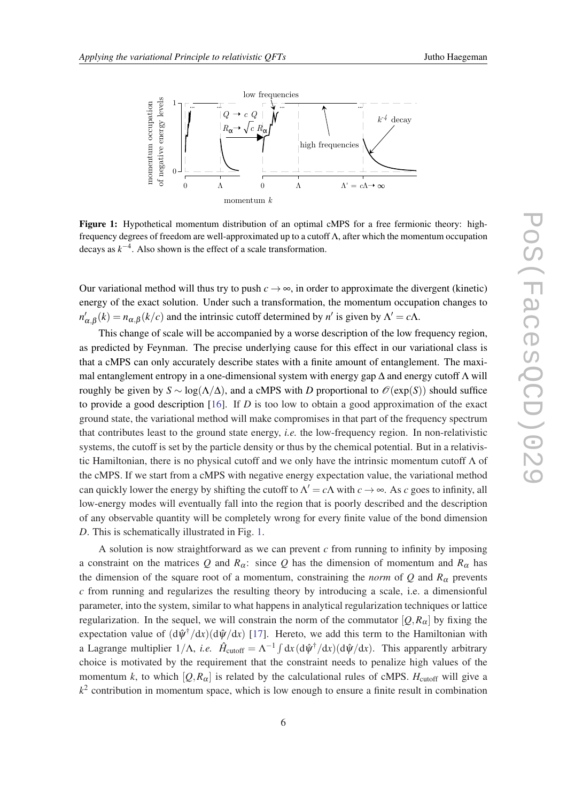

Figure 1: Hypothetical momentum distribution of an optimal cMPS for a free fermionic theory: highfrequency degrees of freedom are well-approximated up to a cutoff Λ, after which the momentum occupation decays as  $k^{-4}$ . Also shown is the effect of a scale transformation.

Our variational method will thus try to push  $c \rightarrow \infty$ , in order to approximate the divergent (kinetic) energy of the exact solution. Under such a transformation, the momentum occupation changes to  $n'_{\alpha,\beta}(k) = n_{\alpha,\beta}(k/c)$  and the intrinsic cutoff determined by *n'* is given by  $\Lambda' = c\Lambda$ .

This change of scale will be accompanied by a worse description of the low frequency region, as predicted by Feynman. The precise underlying cause for this effect in our variational class is that a cMPS can only accurately describe states with a finite amount of entanglement. The maximal entanglement entropy in a one-dimensional system with energy gap  $\Delta$  and energy cutoff  $\Lambda$  will roughly be given by  $S \sim \log(\Lambda/\Delta)$ , and a cMPS with *D* proportional to  $\mathcal{O}(\exp(S))$  should suffice to provide a good description [[16\]](#page-10-0). If *D* is too low to obtain a good approximation of the exact ground state, the variational method will make compromises in that part of the frequency spectrum that contributes least to the ground state energy, *i.e.* the low-frequency region. In non-relativistic systems, the cutoff is set by the particle density or thus by the chemical potential. But in a relativistic Hamiltonian, there is no physical cutoff and we only have the intrinsic momentum cutoff  $\Lambda$  of the cMPS. If we start from a cMPS with negative energy expectation value, the variational method can quickly lower the energy by shifting the cutoff to  $\Lambda' = c\Lambda$  with  $c \to \infty$ . As *c* goes to infinity, all low-energy modes will eventually fall into the region that is poorly described and the description of any observable quantity will be completely wrong for every finite value of the bond dimension *D*. This is schematically illustrated in Fig. 1.

A solution is now straightforward as we can prevent *c* from running to infinity by imposing a constraint on the matrices Q and  $R_\alpha$ : since Q has the dimension of momentum and  $R_\alpha$  has the dimension of the square root of a momentum, constraining the *norm* of  $Q$  and  $R_\alpha$  prevents *c* from running and regularizes the resulting theory by introducing a scale, i.e. a dimensionful parameter, into the system, similar to what happens in analytical regularization techniques or lattice regularization. In the sequel, we will constrain the norm of the commutator  $[Q, R_\alpha]$  by fixing the expectation value of  $(d\hat{\psi}^{\dagger}/dx)(d\hat{\psi}/dx)$  [\[17](#page-10-0)]. Hereto, we add this term to the Hamiltonian with a Lagrange multiplier  $1/\Lambda$ , *i.e.*  $\hat{H}_{\text{cutoff}} = \Lambda^{-1} \int dx (\frac{d\hat{\psi}^{\dagger}}{dx})(\frac{d\hat{\psi}}{dx})$ . This apparently arbitrary choice is motivated by the requirement that the constraint needs to penalize high values of the momentum *k*, to which  $[Q, R_{\alpha}]$  is related by the calculational rules of cMPS. *H*<sub>cutoff</sub> will give a *k* 2 contribution in momentum space, which is low enough to ensure a finite result in combination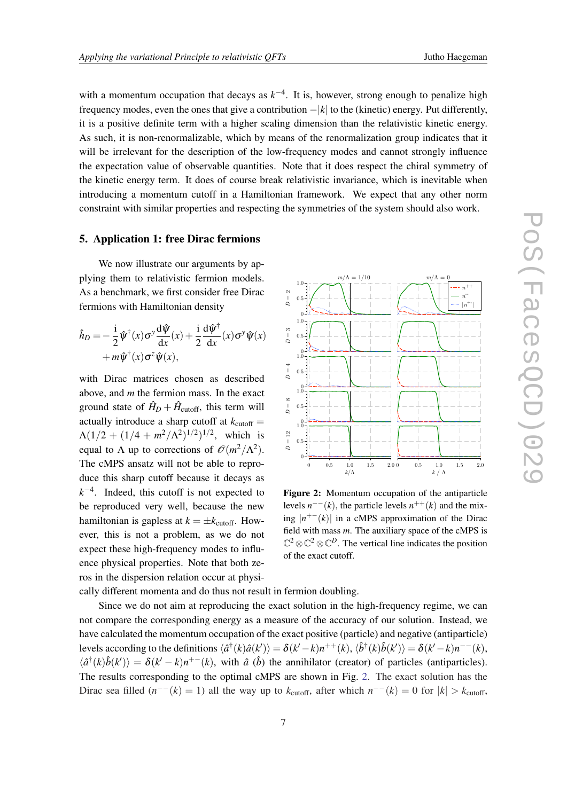with a momentum occupation that decays as  $k^{-4}$ . It is, however, strong enough to penalize high frequency modes, even the ones that give a contribution −|*k*| to the (kinetic) energy. Put differently, it is a positive definite term with a higher scaling dimension than the relativistic kinetic energy. As such, it is non-renormalizable, which by means of the renormalization group indicates that it will be irrelevant for the description of the low-frequency modes and cannot strongly influence the expectation value of observable quantities. Note that it does respect the chiral symmetry of the kinetic energy term. It does of course break relativistic invariance, which is inevitable when introducing a momentum cutoff in a Hamiltonian framework. We expect that any other norm constraint with similar properties and respecting the symmetries of the system should also work.

#### 5. Application 1: free Dirac fermions

We now illustrate our arguments by applying them to relativistic fermion models. As a benchmark, we first consider free Dirac fermions with Hamiltonian density

$$
\hat{h}_D = -\frac{\mathrm{i}}{2} \hat{\psi}^\dagger(x) \sigma^y \frac{\mathrm{d}\hat{\psi}}{\mathrm{d}x}(x) + \frac{\mathrm{i}}{2} \frac{\mathrm{d}\hat{\psi}^\dagger}{\mathrm{d}x}(x) \sigma^y \hat{\psi}(x) \n+ m \hat{\psi}^\dagger(x) \sigma^z \hat{\psi}(x),
$$

with Dirac matrices chosen as described above, and *m* the fermion mass. In the exact ground state of  $\hat{H}_D + \hat{H}_{\text{cutoff}}$ , this term will actually introduce a sharp cutoff at  $k_{\text{cutoff}} =$  $\Lambda(1/2 + (1/4 + m^2/\Lambda^2)^{1/2})^{1/2}$ , which is equal to  $\Lambda$  up to corrections of  $\mathcal{O}(m^2/\Lambda^2)$ . The cMPS ansatz will not be able to reproduce this sharp cutoff because it decays as  $k^{-4}$ . Indeed, this cutoff is not expected to be reproduced very well, because the new hamiltonian is gapless at  $k = \pm k_{\text{cutoff}}$ . However, this is not a problem, as we do not expect these high-frequency modes to influence physical properties. Note that both zeros in the dispersion relation occur at physi-



Figure 2: Momentum occupation of the antiparticle levels  $n^{--}(k)$ , the particle levels  $n^{++}(k)$  and the mixing  $|n^{+-}(k)|$  in a cMPS approximation of the Dirac field with mass *m*. The auxiliary space of the cMPS is  $\mathbb{C}^2 \otimes \mathbb{C}^2 \otimes \mathbb{C}^D$ . The vertical line indicates the position of the exact cutoff.

cally different momenta and do thus not result in fermion doubling.

Since we do not aim at reproducing the exact solution in the high-frequency regime, we can not compare the corresponding energy as a measure of the accuracy of our solution. Instead, we have calculated the momentum occupation of the exact positive (particle) and negative (antiparticle) levels according to the definitions  $\langle \hat{a}^\dagger(k)\hat{a}(k')\rangle = \delta(k'-k)n^{++}(k),$   $\langle \hat{b}^\dagger(k)\hat{b}(k')\rangle = \delta(k'-k)n^{--}(k),$  $\langle \hat{a}^\dagger(k)\hat{b}(k')\rangle = \delta(k'-k)n^{+-}(k)$ , with  $\hat{a}$  ( $\hat{b}$ ) the annihilator (creator) of particles (antiparticles). The results corresponding to the optimal cMPS are shown in Fig. 2. The exact solution has the Dirac sea filled  $(n^{-1}(k) = 1)$  all the way up to  $k_{\text{cutoff}}$ , after which  $n^{-1}(k) = 0$  for  $|k| > k_{\text{cutoff}}$ ,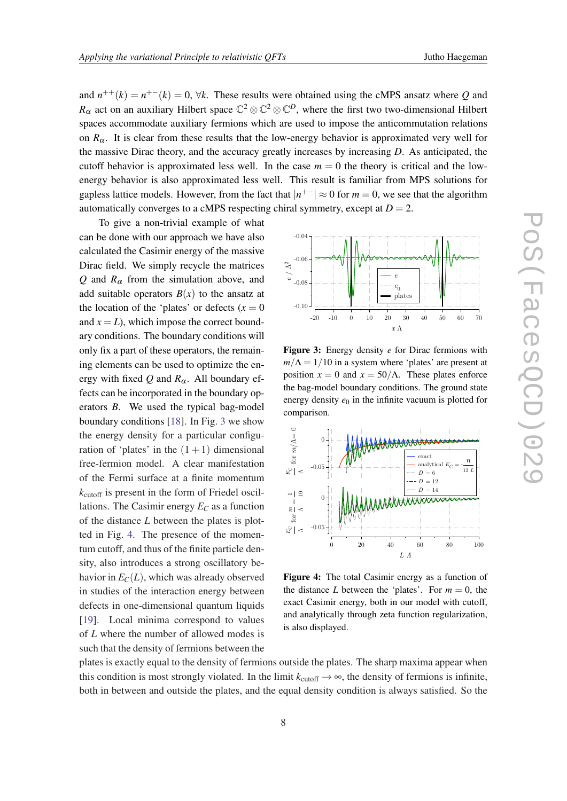<span id="page-7-0"></span>and  $n^{++}(k) = n^{+-}(k) = 0$ ,  $\forall k$ . These results were obtained using the cMPS ansatz where Q and  $R_\alpha$  act on an auxiliary Hilbert space  $\mathbb{C}^2\otimes\mathbb{C}^2\otimes\mathbb{C}^D$ , where the first two two-dimensional Hilbert spaces accommodate auxiliary fermions which are used to impose the anticommutation relations on  $R_{\alpha}$ . It is clear from these results that the low-energy behavior is approximated very well for the massive Dirac theory, and the accuracy greatly increases by increasing *D*. As anticipated, the cutoff behavior is approximated less well. In the case  $m = 0$  the theory is critical and the lowenergy behavior is also approximated less well. This result is familiar from MPS solutions for gapless lattice models. However, from the fact that  $|n^{+-}| \approx 0$  for  $m = 0$ , we see that the algorithm automatically converges to a cMPS respecting chiral symmetry, except at  $D = 2$ .

To give a non-trivial example of what can be done with our approach we have also calculated the Casimir energy of the massive Dirac field. We simply recycle the matrices *Q* and  $R_\alpha$  from the simulation above, and add suitable operators  $B(x)$  to the ansatz at the location of the 'plates' or defects  $(x = 0)$ and  $x = L$ ), which impose the correct boundary conditions. The boundary conditions will only fix a part of these operators, the remaining elements can be used to optimize the energy with fixed Q and  $R_{\alpha}$ . All boundary effects can be incorporated in the boundary operators *B*. We used the typical bag-model boundary conditions [\[18\]](#page-10-0). In Fig. 3 we show the energy density for a particular configuration of 'plates' in the  $(1 + 1)$  dimensional free-fermion model. A clear manifestation of the Fermi surface at a finite momentum  $k_{\text{cutoff}}$  is present in the form of Friedel oscillations. The Casimir energy  $E_C$  as a function of the distance *L* between the plates is plotted in Fig. 4. The presence of the momentum cutoff, and thus of the finite particle density, also introduces a strong oscillatory behavior in  $E_C(L)$ , which was already observed in studies of the interaction energy between defects in one-dimensional quantum liquids [[19\]](#page-10-0). Local minima correspond to values of *L* where the number of allowed modes is such that the density of fermions between the



Figure 3: Energy density *e* for Dirac fermions with  $m/\Lambda = 1/10$  in a system where 'plates' are present at position  $x = 0$  and  $x = 50/\Lambda$ . These plates enforce the bag-model boundary conditions. The ground state energy density  $e_0$  in the infinite vacuum is plotted for comparison.



Figure 4: The total Casimir energy as a function of the distance *L* between the 'plates'. For  $m = 0$ , the exact Casimir energy, both in our model with cutoff, and analytically through zeta function regularization, is also displayed.

plates is exactly equal to the density of fermions outside the plates. The sharp maxima appear when this condition is most strongly violated. In the limit  $k_{\text{cutoff}} \rightarrow \infty$ , the density of fermions is infinite, both in between and outside the plates, and the equal density condition is always satisfied. So the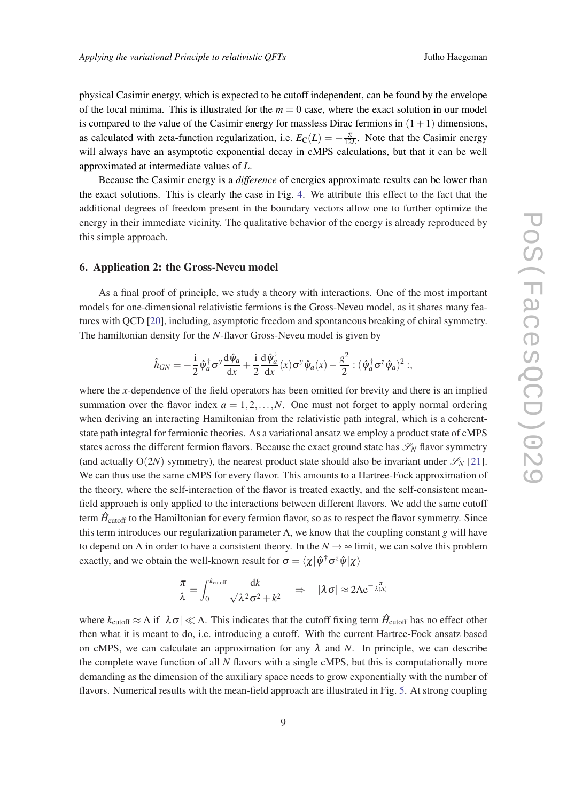physical Casimir energy, which is expected to be cutoff independent, can be found by the envelope of the local minima. This is illustrated for the  $m = 0$  case, where the exact solution in our model is compared to the value of the Casimir energy for massless Dirac fermions in  $(1+1)$  dimensions, as calculated with zeta-function regularization, i.e.  $E_C(L) = -\frac{\pi}{12L}$ . Note that the Casimir energy will always have an asymptotic exponential decay in cMPS calculations, but that it can be well approximated at intermediate values of *L*.

Because the Casimir energy is a *difference* of energies approximate results can be lower than the exact solutions. This is clearly the case in Fig. [4.](#page-7-0) We attribute this effect to the fact that the additional degrees of freedom present in the boundary vectors allow one to further optimize the energy in their immediate vicinity. The qualitative behavior of the energy is already reproduced by this simple approach.

### 6. Application 2: the Gross-Neveu model

As a final proof of principle, we study a theory with interactions. One of the most important models for one-dimensional relativistic fermions is the Gross-Neveu model, as it shares many features with QCD [[20\]](#page-10-0), including, asymptotic freedom and spontaneous breaking of chiral symmetry. The hamiltonian density for the *N*-flavor Gross-Neveu model is given by

$$
\hat{h}_{GN} = -\frac{i}{2} \hat{\psi}_a^{\dagger} \sigma^y \frac{\mathrm{d}\hat{\psi}_a}{\mathrm{d}x} + \frac{i}{2} \frac{\mathrm{d}\hat{\psi}_a^{\dagger}}{\mathrm{d}x}(x) \sigma^y \hat{\psi}_a(x) - \frac{g^2}{2} : (\hat{\psi}_a^{\dagger} \sigma^z \hat{\psi}_a)^2 ;
$$

where the *x*-dependence of the field operators has been omitted for brevity and there is an implied summation over the flavor index  $a = 1, 2, \ldots, N$ . One must not forget to apply normal ordering when deriving an interacting Hamiltonian from the relativistic path integral, which is a coherentstate path integral for fermionic theories. As a variational ansatz we employ a product state of cMPS states across the different fermion flavors. Because the exact ground state has  $\mathscr{S}_N$  flavor symmetry (and actually  $O(2N)$  symmetry), the nearest product state should also be invariant under  $\mathscr{S}_{N}$  [[21\]](#page-10-0). We can thus use the same cMPS for every flavor. This amounts to a Hartree-Fock approximation of the theory, where the self-interaction of the flavor is treated exactly, and the self-consistent meanfield approach is only applied to the interactions between different flavors. We add the same cutoff term  $\hat{H}_{\mathrm{cutoff}}$  to the Hamiltonian for every fermion flavor, so as to respect the flavor symmetry. Since this term introduces our regularization parameter Λ, we know that the coupling constant *g* will have to depend on  $\Lambda$  in order to have a consistent theory. In the  $N \to \infty$  limit, we can solve this problem exactly, and we obtain the well-known result for  $\sigma = \langle \chi | \hat{\psi}^\dagger \sigma^z \hat{\psi} | \chi \rangle$ 

$$
\frac{\pi}{\lambda} = \int_0^{k_{\text{cutoff}}} \frac{\mathrm{d}k}{\sqrt{\lambda^2 \sigma^2 + k^2}} \quad \Rightarrow \quad |\lambda \sigma| \approx 2\Lambda e^{-\frac{\pi}{\lambda(\Lambda)}}
$$

where  $k_{\text{cutoff}} \approx \Lambda$  if  $|\lambda \sigma| \ll \Lambda$ . This indicates that the cutoff fixing term  $\hat{H}_{\text{cutoff}}$  has no effect other then what it is meant to do, i.e. introducing a cutoff. With the current Hartree-Fock ansatz based on cMPS, we can calculate an approximation for any  $\lambda$  and N. In principle, we can describe the complete wave function of all *N* flavors with a single cMPS, but this is computationally more demanding as the dimension of the auxiliary space needs to grow exponentially with the number of flavors. Numerical results with the mean-field approach are illustrated in Fig. [5.](#page-9-0) At strong coupling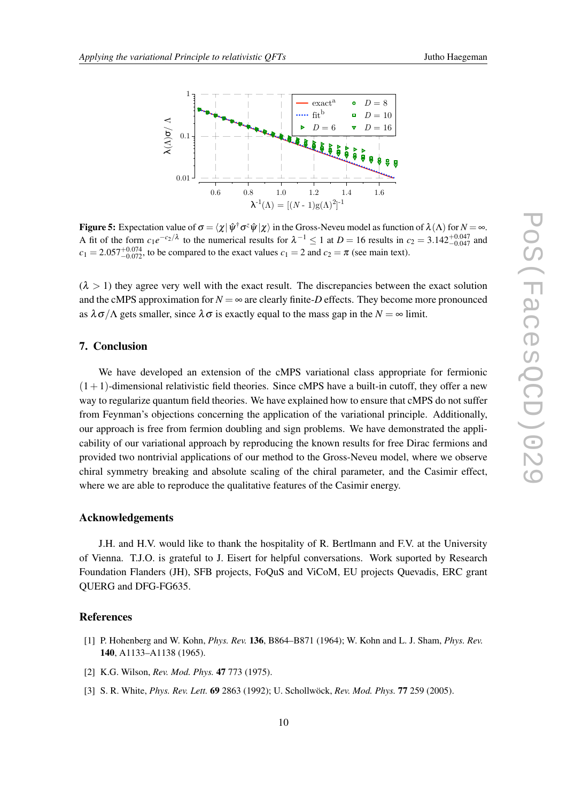<span id="page-9-0"></span>

**Figure 5:** Expectation value of  $\sigma = \langle \chi | \hat{\psi}^{\dagger} \sigma^z \hat{\psi} | \chi \rangle$  in the Gross-Neveu model as function of  $\lambda(\Lambda)$  for  $N = \infty$ . A fit of the form  $c_1e^{-c_2/\lambda}$  to the numerical results for  $\lambda^{-1} \le 1$  at  $D = 16$  results in  $c_2 = 3.142^{+0.047}_{-0.047}$  and  $c_1 = 2.057^{+0.074}_{-0.072}$ , to be compared to the exact values  $c_1 = 2$  and  $c_2 = \pi$  (see main text).

 $(\lambda > 1)$  they agree very well with the exact result. The discrepancies between the exact solution and the cMPS approximation for  $N = \infty$  are clearly finite-*D* effects. They become more pronounced as  $\lambda \sigma / \Lambda$  gets smaller, since  $\lambda \sigma$  is exactly equal to the mass gap in the  $N = \infty$  limit.

#### 7. Conclusion

We have developed an extension of the cMPS variational class appropriate for fermionic  $(1+1)$ -dimensional relativistic field theories. Since cMPS have a built-in cutoff, they offer a new way to regularize quantum field theories. We have explained how to ensure that cMPS do not suffer from Feynman's objections concerning the application of the variational principle. Additionally, our approach is free from fermion doubling and sign problems. We have demonstrated the applicability of our variational approach by reproducing the known results for free Dirac fermions and provided two nontrivial applications of our method to the Gross-Neveu model, where we observe chiral symmetry breaking and absolute scaling of the chiral parameter, and the Casimir effect, where we are able to reproduce the qualitative features of the Casimir energy.

#### Acknowledgements

J.H. and H.V. would like to thank the hospitality of R. Bertlmann and F.V. at the University of Vienna. T.J.O. is grateful to J. Eisert for helpful conversations. Work suported by Research Foundation Flanders (JH), SFB projects, FoQuS and ViCoM, EU projects Quevadis, ERC grant QUERG and DFG-FG635.

#### **References**

- [1] P. Hohenberg and W. Kohn, *Phys. Rev.* 136, B864–B871 (1964); W. Kohn and L. J. Sham, *Phys. Rev.* 140, A1133–A1138 (1965).
- [2] K.G. Wilson, *Rev. Mod. Phys.* 47 773 (1975).
- [3] S. R. White, *Phys. Rev. Lett.* 69 2863 (1992); U. Schollwöck, *Rev. Mod. Phys.* 77 259 (2005).